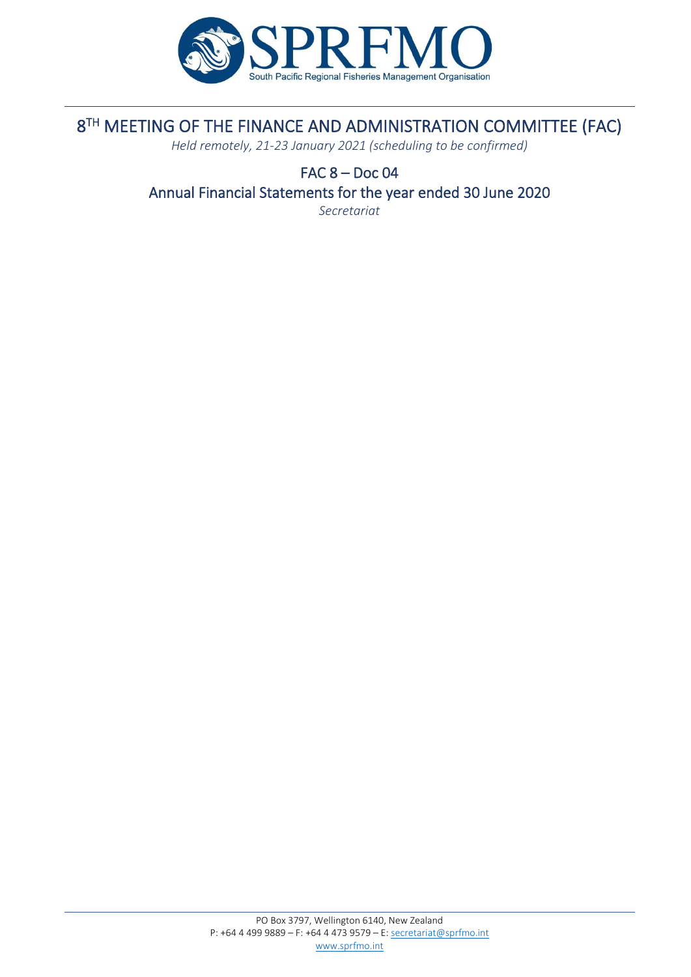

# 8 TH MEETING OF THE FINANCE AND ADMINISTRATION COMMITTEE (FAC)

*Held remotely, 21-23 January 2021 (scheduling to be confirmed)*

# FAC 8 – Doc 04 Annual Financial Statements for the year ended 30 June 2020

*Secretariat*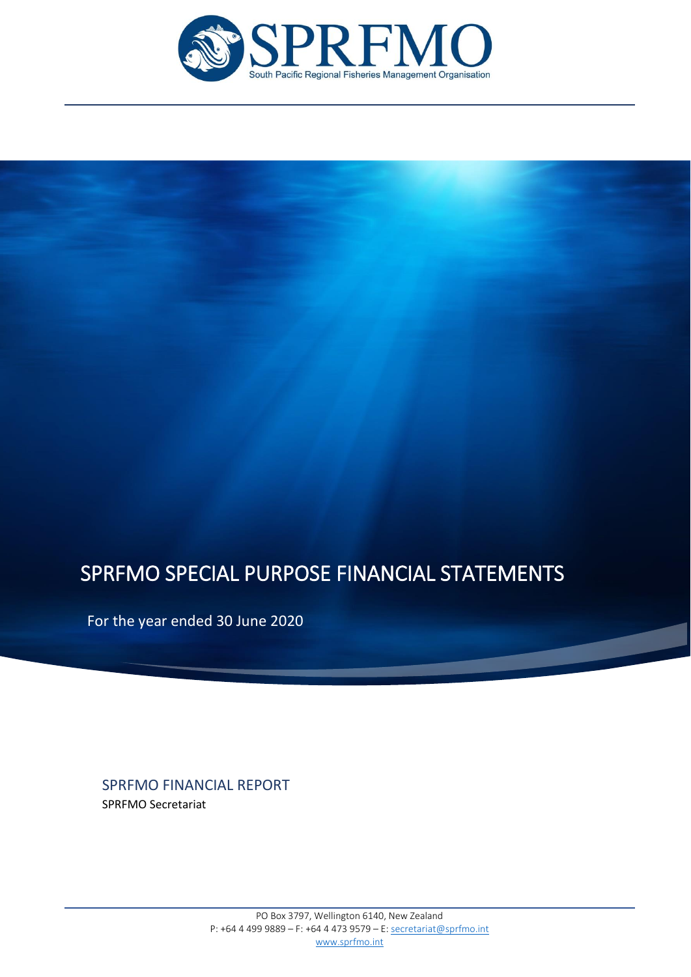

# SPRFMO SPECIAL PURPOSE FINANCIAL STATEMENTS

For the year ended 30 June 2020

SPRFMO FINANCIAL REPORT

SPRFMO Secretariat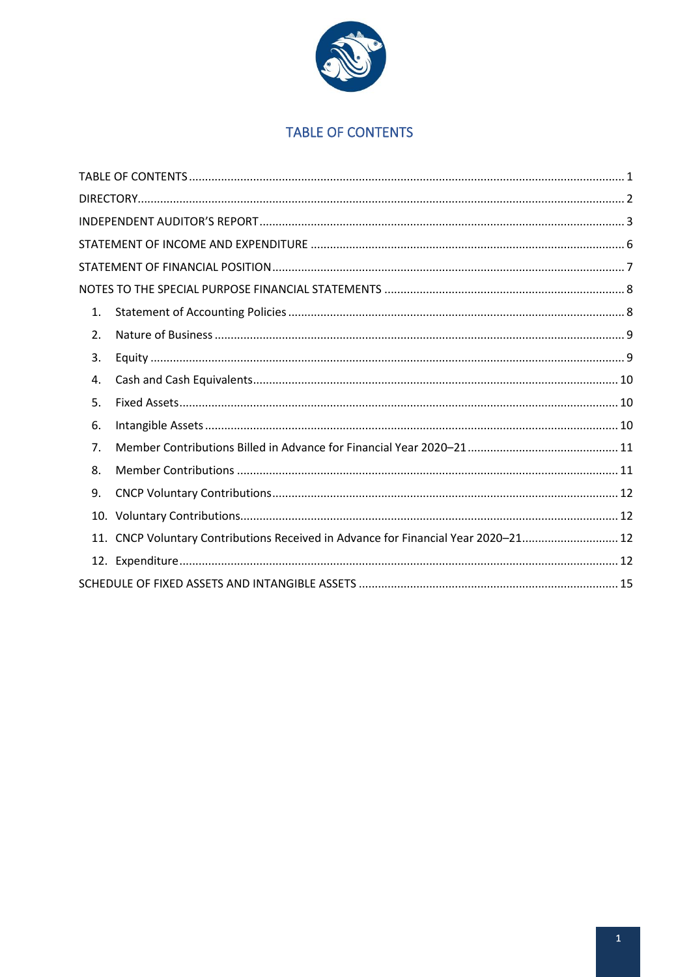

# **TABLE OF CONTENTS**

<span id="page-2-0"></span>

| 1. |                                                                                    |  |
|----|------------------------------------------------------------------------------------|--|
| 2. |                                                                                    |  |
| 3. |                                                                                    |  |
| 4. |                                                                                    |  |
| 5. |                                                                                    |  |
| 6. |                                                                                    |  |
| 7. |                                                                                    |  |
| 8. |                                                                                    |  |
| 9. |                                                                                    |  |
|    |                                                                                    |  |
|    | 11. CNCP Voluntary Contributions Received in Advance for Financial Year 2020-21 12 |  |
|    |                                                                                    |  |
|    |                                                                                    |  |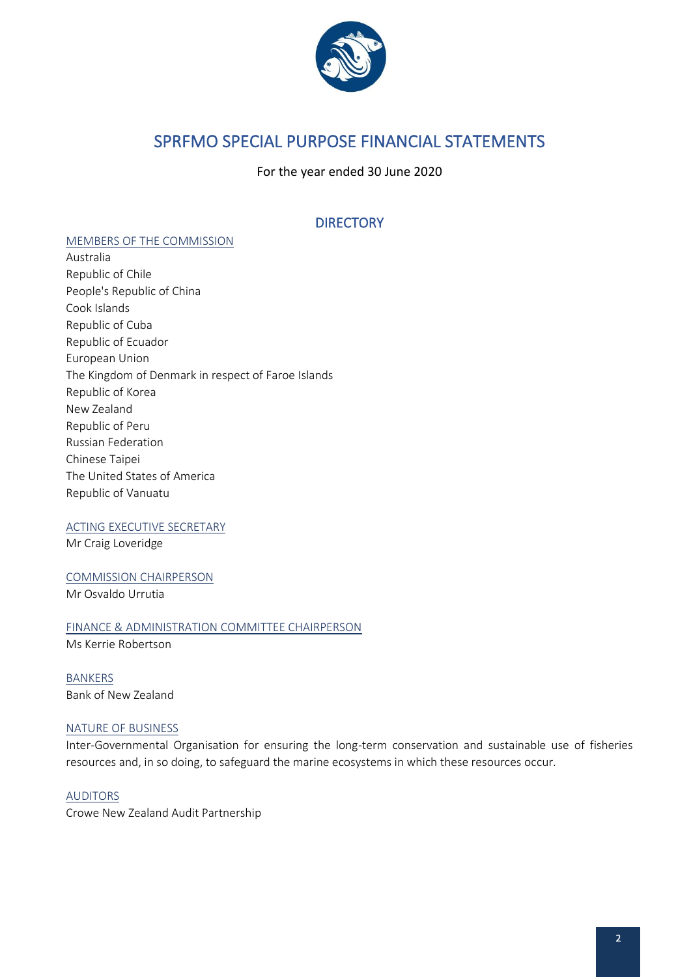

# SPRFMO SPECIAL PURPOSE FINANCIAL STATEMENTS

For the year ended 30 June 2020

# **DIRECTORY**

#### <span id="page-3-0"></span>MEMBERS OF THE COMMISSION

Australia Republic of Chile People's Republic of China Cook Islands Republic of Cuba Republic of Ecuador European Union The Kingdom of Denmark in respect of Faroe Islands Republic of Korea New Zealand Republic of Peru Russian Federation Chinese Taipei The United States of America Republic of Vanuatu

#### ACTING EXECUTIVE SECRETARY

Mr Craig Loveridge

COMMISSION CHAIRPERSON Mr Osvaldo Urrutia

FINANCE & ADMINISTRATION COMMITTEE CHAIRPERSON

Ms Kerrie Robertson

BANKERS Bank of New Zealand

#### NATURE OF BUSINESS

Inter-Governmental Organisation for ensuring the long-term conservation and sustainable use of fisheries resources and, in so doing, to safeguard the marine ecosystems in which these resources occur.

AUDITORS Crowe New Zealand Audit Partnership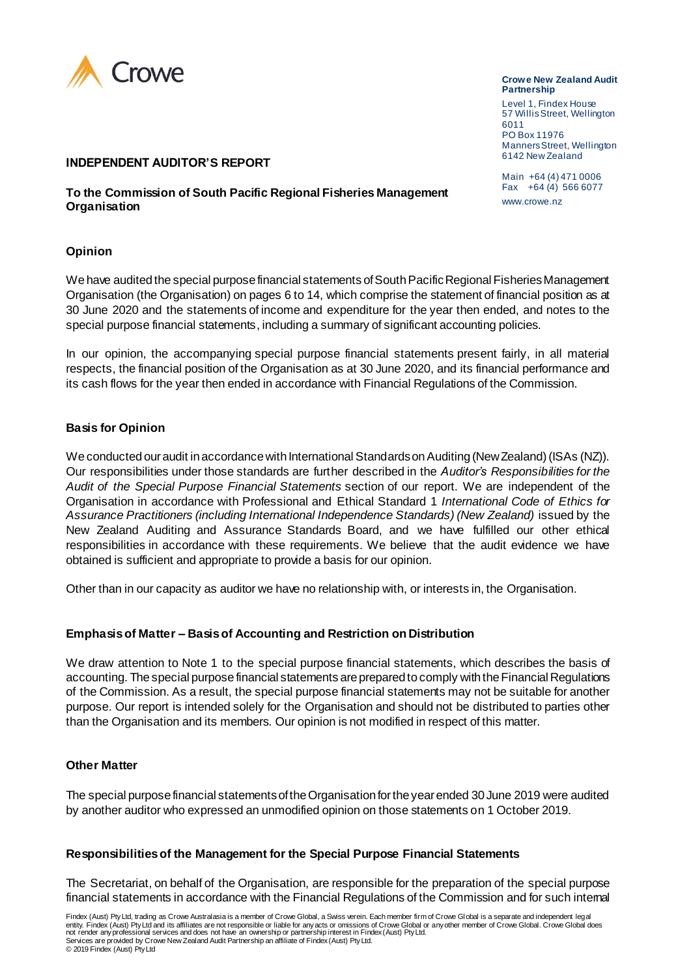

#### **INDEPENDENT AUDITOR'S REPORT**

**To the Commission of South Pacific Regional Fisheries Management Organisation**

#### **Opinion**

We have audited the special purpose financial statements of South Pacific Regional Fisheries Management Organisation (the Organisation) on pages 6 to 14, which comprise the statement of financial position as at 30 June 2020 and the statements of income and expenditure for the year then ended, and notes to the special purpose financial statements, including a summary of significant accounting policies.

In our opinion, the accompanying special purpose financial statements present fairly, in all material respects, the financial position of the Organisation as at 30 June 2020, and its financial performance and its cash flows for the year then ended in accordance with Financial Regulations of the Commission.

#### **Basis for Opinion**

We conducted our audit in accordance with International Standards on Auditing (New Zealand) (ISAs (NZ)). Our responsibilities under those standards are further described in the *Auditor's Responsibilities for the Audit of the Special Purpose Financial Statements* section of our report. We are independent of the Organisation in accordance with Professional and Ethical Standard 1 *International Code of Ethics for*  Assurance Practitioners (including International Independence Standards) (New Zealand) issued by the New Zealand Auditing and Assurance Standards Board, and we have fulfilled our other ethical responsibilities in accordance with these requirements. We believe that the audit evidence we have obtained is sufficient and appropriate to provide a basis for our opinion.

Other than in our capacity as auditor we have no relationship with, or interests in, the Organisation.

#### **Emphasis of Matter – Basis of Accounting and Restriction on Distribution**

We draw attention to Note 1 to the special purpose financial statements, which describes the basis of accounting. The special purpose financial statements are prepared to comply with the Financial Regulations of the Commission. As a result, the special purpose financial statements may not be suitable for another purpose. Our report is intended solely for the Organisation and should not be distributed to parties other than the Organisation and its members. Our opinion is not modified in respect of this matter.

#### **Other Matter**

The special purpose financial statements of the Organisation for the year ended 30 June 2019 were audited by another auditor who expressed an unmodified opinion on those statements on 1 October 2019.

#### **Responsibilities of the Management for the Special Purpose Financial Statements**

The Secretariat, on behalf of the Organisation, are responsible for the preparation of the special purpose financial statements in accordance with the Financial Regulations of the Commission and for such internal

**Crowe New Zealand Audit Partnership**

Level 1, Findex House 57 Willis Street, Wellington 6011 PO Box 11976 Manners Street, Wellington 6142 New Zealand

Main +64 (4) 471 0006 Fax +64 (4) 566 6077 www.crowe.nz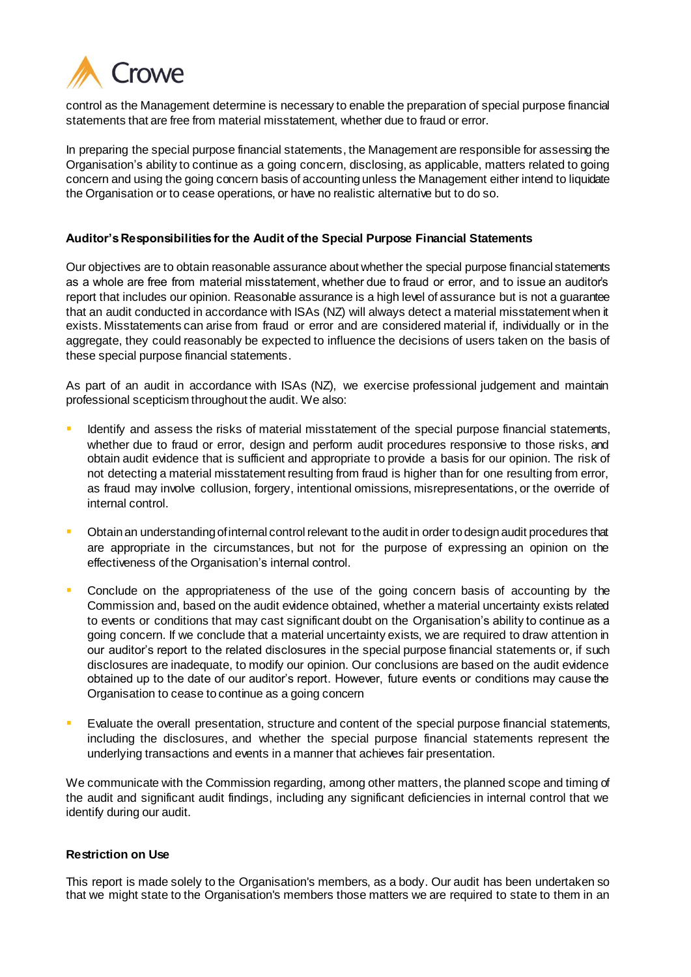

control as the Management determine is necessary to enable the preparation of special purpose financial statements that are free from material misstatement, whether due to fraud or error.

In preparing the special purpose financial statements, the Management are responsible for assessing the Organisation's ability to continue as a going concern, disclosing, as applicable, matters related to going concern and using the going concern basis of accounting unless the Management either intend to liquidate the Organisation or to cease operations, or have no realistic alternative but to do so.

#### **Auditor's Responsibilities for the Audit of the Special Purpose Financial Statements**

Our objectives are to obtain reasonable assurance about whether the special purpose financial statements as a whole are free from material misstatement, whether due to fraud or error, and to issue an auditor's report that includes our opinion. Reasonable assurance is a high level of assurance but is not a guarantee that an audit conducted in accordance with ISAs (NZ) will always detect a material misstatement when it exists. Misstatements can arise from fraud or error and are considered material if, individually or in the aggregate, they could reasonably be expected to influence the decisions of users taken on the basis of these special purpose financial statements.

As part of an audit in accordance with ISAs (NZ), we exercise professional judgement and maintain professional scepticism throughout the audit. We also:

- Identify and assess the risks of material misstatement of the special purpose financial statements, whether due to fraud or error, design and perform audit procedures responsive to those risks, and obtain audit evidence that is sufficient and appropriate to provide a basis for our opinion. The risk of not detecting a material misstatement resulting from fraud is higher than for one resulting from error, as fraud may involve collusion, forgery, intentional omissions, misrepresentations, or the override of internal control.
- **•** Obtain an understanding of internal control relevant to the audit in order to design audit procedures that are appropriate in the circumstances, but not for the purpose of expressing an opinion on the effectiveness of the Organisation's internal control.
- Conclude on the appropriateness of the use of the going concern basis of accounting by the Commission and, based on the audit evidence obtained, whether a material uncertainty exists related to events or conditions that may cast significant doubt on the Organisation's ability to continue as a going concern. If we conclude that a material uncertainty exists, we are required to draw attention in our auditor's report to the related disclosures in the special purpose financial statements or, if such disclosures are inadequate, to modify our opinion. Our conclusions are based on the audit evidence obtained up to the date of our auditor's report. However, future events or conditions may cause the Organisation to cease to continue as a going concern
- Evaluate the overall presentation, structure and content of the special purpose financial statements, including the disclosures, and whether the special purpose financial statements represent the underlying transactions and events in a manner that achieves fair presentation.

We communicate with the Commission regarding, among other matters, the planned scope and timing of the audit and significant audit findings, including any significant deficiencies in internal control that we identify during our audit.

#### **Restriction on Use**

This report is made solely to the Organisation's members, as a body. Our audit has been undertaken so that we might state to the Organisation's members those matters we are required to state to them in an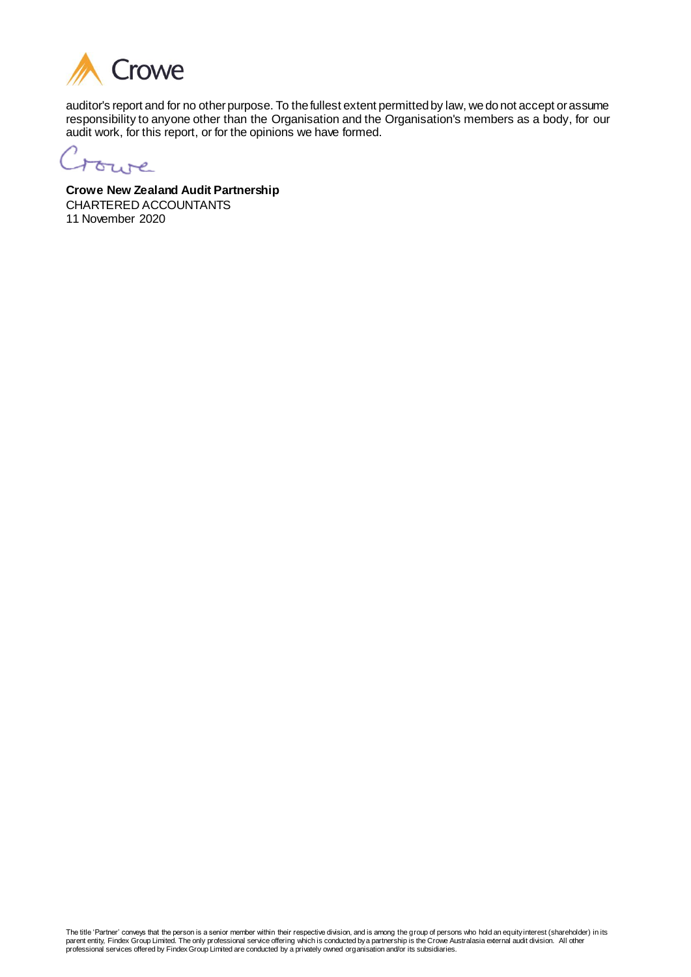

auditor's report and for no other purpose. To the fullest extent permitted by law, we do not accept or assume responsibility to anyone other than the Organisation and the Organisation's members as a body, for our audit work, for this report, or for the opinions we have formed.

trune

**Crowe New Zealand Audit Partnership**  CHARTERED ACCOUNTANTS 11 November 2020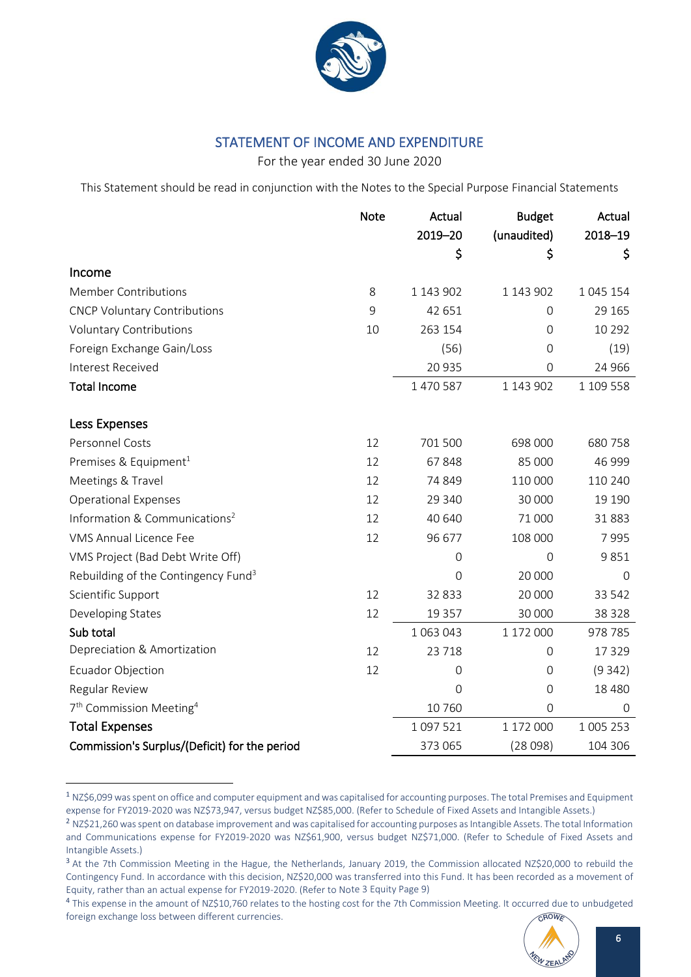

# STATEMENT OF INCOME AND EXPENDITURE

For the year ended 30 June 2020

<span id="page-7-0"></span>This Statement should be read in conjunction with the Notes to the Special Purpose Financial Statements

|                                                 | <b>Note</b> | Actual         | <b>Budget</b> | Actual    |
|-------------------------------------------------|-------------|----------------|---------------|-----------|
|                                                 |             | 2019-20        | (unaudited)   | 2018-19   |
|                                                 |             | \$             | \$            | \$        |
| Income                                          |             |                |               |           |
| <b>Member Contributions</b>                     | 8           | 1 143 902      | 1 143 902     | 1 045 154 |
| <b>CNCP Voluntary Contributions</b>             | 9           | 42 651         | 0             | 29 165    |
| <b>Voluntary Contributions</b>                  | 10          | 263 154        | $\mathbf 0$   | 10 2 9 2  |
| Foreign Exchange Gain/Loss                      |             | (56)           | 0             | (19)      |
| Interest Received                               |             | 20 935         | $\Omega$      | 24 9 66   |
| <b>Total Income</b>                             |             | 1 470 587      | 1 143 902     | 1 109 558 |
|                                                 |             |                |               |           |
| Less Expenses                                   |             |                |               |           |
| Personnel Costs                                 | 12          | 701 500        | 698 000       | 680758    |
| Premises & Equipment <sup>1</sup>               | 12          | 67848          | 85 000        | 46 999    |
| Meetings & Travel                               | 12          | 74 849         | 110 000       | 110 240   |
| <b>Operational Expenses</b>                     | 12          | 29 340         | 30 000        | 19 19 0   |
| Information & Communications <sup>2</sup>       | 12          | 40 640         | 71 000        | 31883     |
| <b>VMS Annual Licence Fee</b>                   | 12          | 96 677         | 108 000       | 7995      |
| VMS Project (Bad Debt Write Off)                |             | $\overline{0}$ | $\Omega$      | 9851      |
| Rebuilding of the Contingency Fund <sup>3</sup> |             | 0              | 20 000        | $\Omega$  |
| Scientific Support                              | 12          | 32 833         | 20 000        | 33 542    |
| Developing States                               | 12          | 19 3 5 7       | 30 000        | 38 3 28   |
| Sub total                                       |             | 1 063 043      | 1 172 000     | 978 785   |
| Depreciation & Amortization                     | 12          | 23 7 18        | 0             | 17329     |
| Ecuador Objection                               | 12          | $\mathbf 0$    | 0             | (9342)    |
| Regular Review                                  |             | $\overline{0}$ | 0             | 18 4 8 0  |
| 7 <sup>th</sup> Commission Meeting <sup>4</sup> |             | 10760          | $\mathbf 0$   | 0         |
| <b>Total Expenses</b>                           |             | 1097521        | 1 172 000     | 1 005 253 |
| Commission's Surplus/(Deficit) for the period   |             | 373 065        | (28098)       | 104 306   |

<sup>&</sup>lt;sup>1</sup> NZ\$6,099 was spent on office and computer equipment and was capitalised for accounting purposes. The total Premises and Equipment expense for FY2019-2020 was NZ\$73,947, versus budget NZ\$85,000. (Refer to Schedule of Fixed Assets and Intangible Assets.)

<sup>&</sup>lt;sup>4</sup> This expense in the amount of NZ\$10,760 relates to the hosting cost for the 7th Commission Meeting. It occurred due to unbudgeted CROWE foreign exchange loss between different currencies.



<sup>&</sup>lt;sup>2</sup> NZ\$21,260 was spent on database improvement and was capitalised for accounting purposes as Intangible Assets. The total Information and Communications expense for FY2019-2020 was NZ\$61,900, versus budget NZ\$71,000. (Refer to Schedule of Fixed Assets and Intangible Assets.)

<sup>&</sup>lt;sup>3</sup> At the 7th Commission Meeting in the Hague, the Netherlands, January 2019, the Commission allocated NZ\$20,000 to rebuild the Contingency Fund. In accordance with this decision, NZ\$20,000 was transferred into this Fund. It has been recorded as a movement of Equity, rather than an actual expense for FY2019-2020. (Refer to Note 3 Equity Page 9)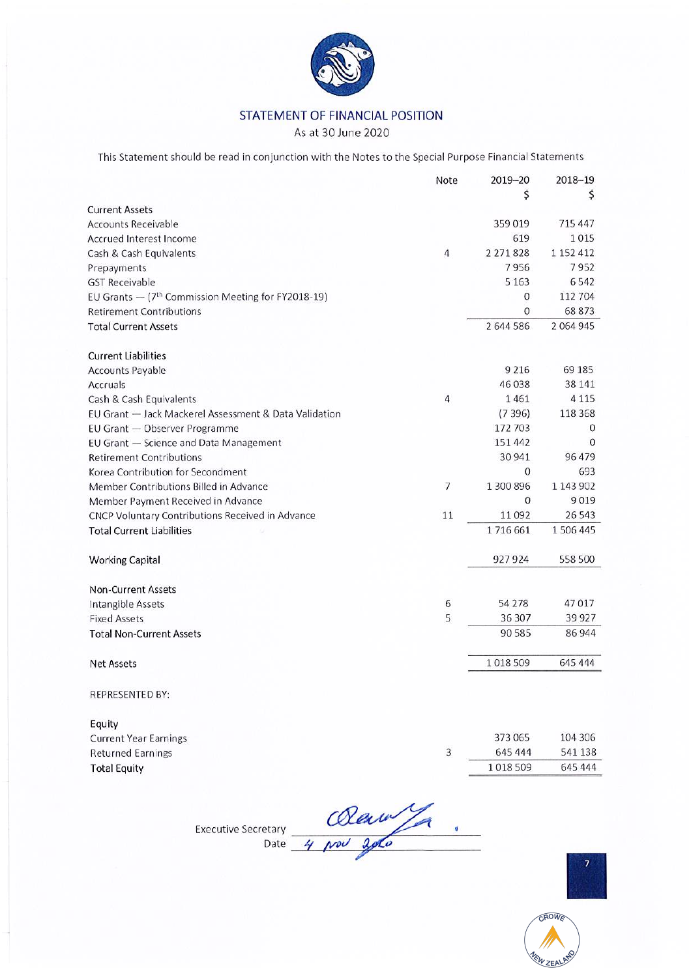

### STATEMENT OF FINANCIAL POSITION

As at 30 June 2020

This Statement should be read in conjunction with the Notes to the Special Purpose Financial Statements

|                                                                | Note                     | $2019 - 20$   | 2018-19       |
|----------------------------------------------------------------|--------------------------|---------------|---------------|
|                                                                |                          | \$            | \$            |
| <b>Current Assets</b>                                          |                          |               |               |
| <b>Accounts Receivable</b>                                     |                          | 359019        | 715 447       |
| Accrued Interest Income                                        |                          | 619           | 1015          |
| Cash & Cash Equivalents                                        | 4                        | 2 2 7 1 8 2 8 | 1 152 412     |
| Prepayments                                                    |                          | 7956          | 7952          |
| <b>GST Receivable</b>                                          |                          | 5 1 6 3       | 6542          |
| EU Grants - (7 <sup>th</sup> Commission Meeting for FY2018-19) |                          | 0             | 112 704       |
| <b>Retirement Contributions</b>                                |                          | 0             | 68873         |
| <b>Total Current Assets</b>                                    |                          | 2 644 586     | 2 0 6 4 9 4 5 |
| <b>Current Liabilities</b>                                     |                          |               |               |
| Accounts Payable                                               |                          | 9 2 1 6       | 69 185        |
| Accruals                                                       |                          | 46 038        | 38 14 1       |
| Cash & Cash Equivalents                                        | 4                        | 1461          | 4 1 1 5       |
| EU Grant - Jack Mackerel Assessment & Data Validation          |                          | (7396)        | 118 368       |
| EU Grant - Observer Programme                                  |                          | 172 703       | 0             |
| EU Grant - Science and Data Management                         |                          | 151 442       | 0             |
| <b>Retirement Contributions</b>                                |                          | 30 941        | 96479         |
| Korea Contribution for Secondment                              |                          | 0             | 693           |
| Member Contributions Billed in Advance                         | $\overline{\phantom{a}}$ | 1 300 896     | 1 143 902     |
| Member Payment Received in Advance                             |                          | 0             | 9019          |
| CNCP Voluntary Contributions Received in Advance               | 11                       | 11092         | 26 543        |
| <b>Total Current Liabilities</b>                               |                          | 1716661       | 1506445       |
| <b>Working Capital</b>                                         |                          | 927924        | 558 500       |
| <b>Non-Current Assets</b>                                      |                          |               |               |
| Intangible Assets                                              | 6                        | 54 278        | 47017         |
| <b>Fixed Assets</b>                                            | 5                        | 36 307        | 39 9 27       |
| <b>Total Non-Current Assets</b>                                |                          | 90 585        | 86 944        |
| <b>Net Assets</b>                                              |                          | 1018509       | 645 444       |
| REPRESENTED BY:                                                |                          |               |               |
| Equity                                                         |                          |               |               |
| <b>Current Year Earnings</b>                                   |                          | 373 065       | 104 306       |
| <b>Returned Earnings</b>                                       | 3                        | 645 444       | 541 138       |

Executive Secretary  $\frac{1}{\sqrt{2\pi}}$ 

**Total Equity** 



CROWE

WZEALA

645 444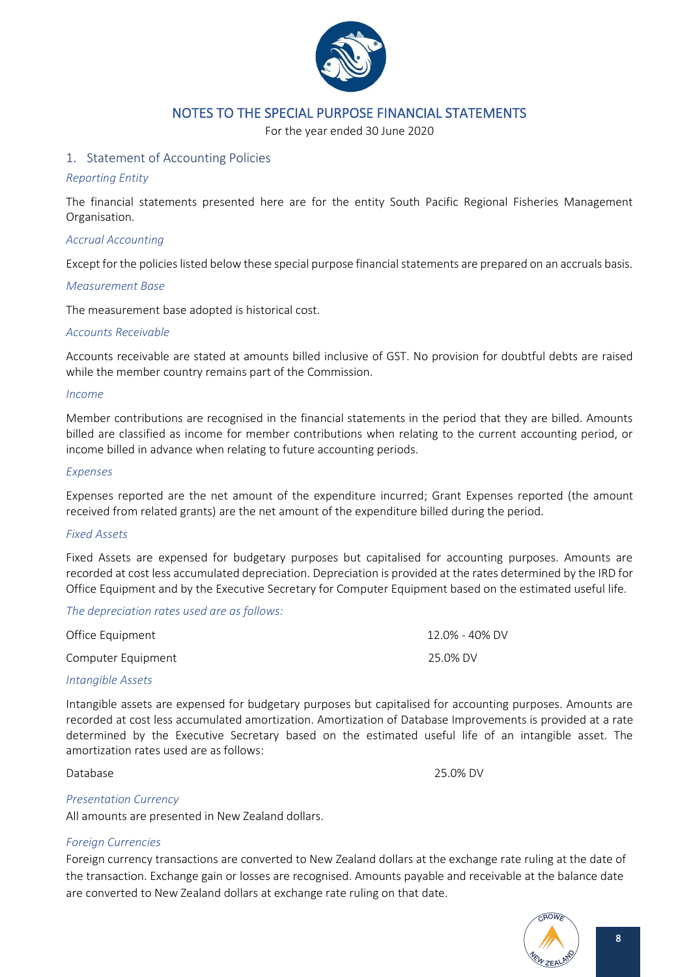

### NOTES TO THE SPECIAL PURPOSE FINANCIAL STATEMENTS

For the year ended 30 June 2020

#### <span id="page-9-1"></span><span id="page-9-0"></span>1. Statement of Accounting Policies

#### *Reporting Entity*

The financial statements presented here are for the entity South Pacific Regional Fisheries Management Organisation.

#### *Accrual Accounting*

Except for the policies listed below these special purpose financial statements are prepared on an accruals basis.

#### *Measurement Base*

The measurement base adopted is historical cost.

#### *Accounts Receivable*

Accounts receivable are stated at amounts billed inclusive of GST. No provision for doubtful debts are raised while the member country remains part of the Commission.

#### *Income*

Member contributions are recognised in the financial statements in the period that they are billed. Amounts billed are classified as income for member contributions when relating to the current accounting period, or income billed in advance when relating to future accounting periods.

#### *Expenses*

Expenses reported are the net amount of the expenditure incurred; Grant Expenses reported (the amount received from related grants) are the net amount of the expenditure billed during the period.

#### *Fixed Assets*

Fixed Assets are expensed for budgetary purposes but capitalised for accounting purposes. Amounts are recorded at cost less accumulated depreciation. Depreciation is provided at the rates determined by the IRD for Office Equipment and by the Executive Secretary for Computer Equipment based on the estimated useful life.

#### *The depreciation rates used are as follows:*

| Office Equipment   | 12.0% - 40% DV |
|--------------------|----------------|
| Computer Equipment | 25.0% DV       |
|                    |                |

#### *Intangible Assets*

Intangible assets are expensed for budgetary purposes but capitalised for accounting purposes. Amounts are recorded at cost less accumulated amortization. Amortization of Database Improvements is provided at a rate determined by the Executive Secretary based on the estimated useful life of an intangible asset. The amortization rates used are as follows:

Database 25.0% DV

#### *Presentation Currency*

All amounts are presented in New Zealand dollars.

#### *Foreign Currencies*

Foreign currency transactions are converted to New Zealand dollars at the exchange rate ruling at the date of the transaction. Exchange gain or losses are recognised. Amounts payable and receivable at the balance date are converted to New Zealand dollars at exchange rate ruling on that date.

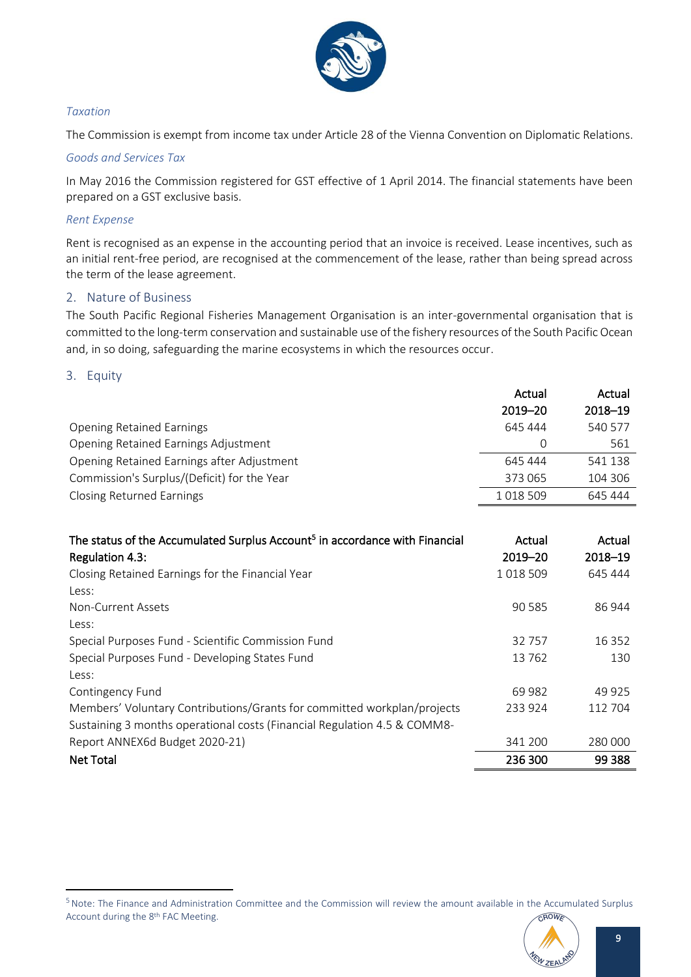

### *Taxation*

The Commission is exempt from income tax under Article 28 of the Vienna Convention on Diplomatic Relations.

#### *Goods and Services Tax*

In May 2016 the Commission registered for GST effective of 1 April 2014. The financial statements have been prepared on a GST exclusive basis.

### *Rent Expense*

Rent is recognised as an expense in the accounting period that an invoice is received. Lease incentives, such as an initial rent-free period, are recognised at the commencement of the lease, rather than being spread across the term of the lease agreement.

### <span id="page-10-0"></span>2. Nature of Business

The South Pacific Regional Fisheries Management Organisation is an inter-governmental organisation that is committed to the long-term conservation and sustainable use of the fishery resources of the South Pacific Ocean and, in so doing, safeguarding the marine ecosystems in which the resources occur.

### <span id="page-10-1"></span>3. Equity

|                                             | Actual  | Actual  |
|---------------------------------------------|---------|---------|
|                                             | 2019-20 | 2018-19 |
| <b>Opening Retained Earnings</b>            | 645 444 | 540 577 |
| Opening Retained Earnings Adjustment        | 0       | 561     |
| Opening Retained Earnings after Adjustment  | 645 444 | 541 138 |
| Commission's Surplus/(Deficit) for the Year | 373 065 | 104 306 |
| <b>Closing Returned Earnings</b>            | 1018509 | 645 444 |

| The status of the Accumulated Surplus Account <sup>5</sup> in accordance with Financial<br>Regulation 4.3: | Actual<br>$2019 - 20$ | Actual<br>2018-19 |
|------------------------------------------------------------------------------------------------------------|-----------------------|-------------------|
| Closing Retained Earnings for the Financial Year                                                           | 1018509               | 645 444           |
| Less:                                                                                                      |                       |                   |
| Non-Current Assets                                                                                         | 90 5 85               | 86 944            |
| Less:                                                                                                      |                       |                   |
| Special Purposes Fund - Scientific Commission Fund                                                         | 32757                 | 16 3 5 2          |
| Special Purposes Fund - Developing States Fund                                                             | 13762                 | 130               |
| Less:                                                                                                      |                       |                   |
| Contingency Fund                                                                                           | 69 982                | 49 925            |
| Members' Voluntary Contributions/Grants for committed workplan/projects                                    | 233 924               | 112 704           |
| Sustaining 3 months operational costs (Financial Regulation 4.5 & COMM8-                                   |                       |                   |
| Report ANNEX6d Budget 2020-21)                                                                             | 341 200               | 280 000           |
| <b>Net Total</b>                                                                                           | 236 300               | 99 388            |

<sup>&</sup>lt;sup>5</sup> Note: The Finance and Administration Committee and the Commission will review the amount available in the Accumulated Surplus CROWE Account during the 8<sup>th</sup> FAC Meeting.

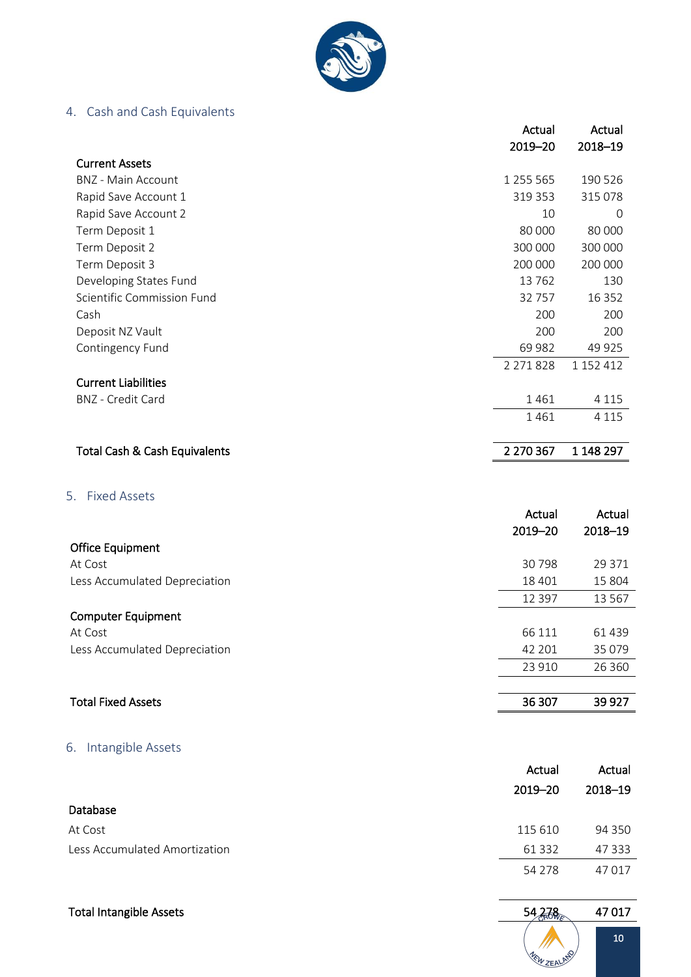

# <span id="page-11-0"></span>4. Cash and Cash Equivalents

|                               | Actual    | Actual    |
|-------------------------------|-----------|-----------|
|                               | 2019-20   | 2018-19   |
| <b>Current Assets</b>         |           |           |
| <b>BNZ</b> - Main Account     | 1 255 565 | 190 526   |
| Rapid Save Account 1          | 319 353   | 315 078   |
| Rapid Save Account 2          | 10        | 0         |
| Term Deposit 1                | 80 000    | 80 000    |
| Term Deposit 2                | 300 000   | 300 000   |
| Term Deposit 3                | 200 000   | 200 000   |
| Developing States Fund        | 13762     | 130       |
| Scientific Commission Fund    | 32757     | 16 3 5 2  |
| Cash                          | 200       | 200       |
| Deposit NZ Vault              | 200       | 200       |
| Contingency Fund              | 69 982    | 49 9 25   |
|                               | 2 271 828 | 1 152 412 |
| <b>Current Liabilities</b>    |           |           |
| <b>BNZ</b> - Credit Card      | 1461      | 4 1 1 5   |
|                               | 1461      | 4 1 1 5   |
| Total Cash & Cash Equivalents | 2 270 367 | 1 148 297 |
| <b>Fixed Assets</b><br>5.     |           |           |
|                               | Actual    | Actual    |
|                               | 2019-20   | 2018-19   |
| <b>Office Equipment</b>       |           |           |
| At Cost                       | 30798     | 29 371    |
| Less Accumulated Depreciation | 18 401    | 15 804    |
|                               | 12 3 9 7  | 13 5 67   |
| <b>Computer Equipment</b>     |           |           |
| At Cost                       | 66 111    | 61 439    |
| Less Accumulated Depreciation | 42 201    | 35 0 79   |
|                               | 23 910    | 26 360    |
| <b>Total Fixed Assets</b>     | 36 307    | 39 9 27   |
|                               |           |           |

# <span id="page-11-2"></span><span id="page-11-1"></span>6. Intangible Assets

|                               | Actual   | Actual  |
|-------------------------------|----------|---------|
|                               | 2019–20  | 2018-19 |
| Database                      |          |         |
| At Cost                       | 115 610  | 94 350  |
| Less Accumulated Amortization | 61 3 32  | 47 333  |
|                               | 54 2 7 8 | 47017   |

| <b>Total Intangible Assets</b> | 54<br><b>ROWE</b>  | 47017 |
|--------------------------------|--------------------|-------|
|                                | <b>MEW ZEALAND</b> | 10    |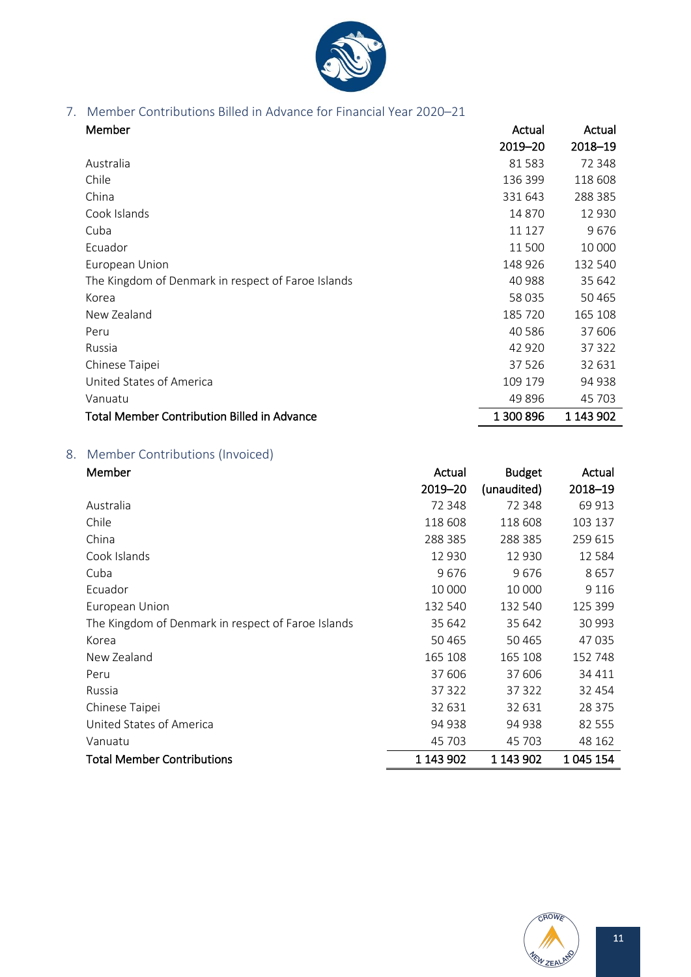

# <span id="page-12-0"></span>7. Member Contributions Billed in Advance for Financial Year 2020–21

| Member                                             | Actual    | Actual    |
|----------------------------------------------------|-----------|-----------|
|                                                    | 2019-20   | 2018-19   |
| Australia                                          | 81583     | 72 348    |
| Chile                                              | 136 399   | 118 608   |
| China                                              | 331 643   | 288 385   |
| Cook Islands                                       | 14870     | 12 930    |
| Cuba                                               | 11 127    | 9676      |
| Ecuador                                            | 11 500    | 10 000    |
| European Union                                     | 148 926   | 132 540   |
| The Kingdom of Denmark in respect of Faroe Islands | 40 988    | 35 642    |
| Korea                                              | 58 035    | 50 4 65   |
| New Zealand                                        | 185 720   | 165 108   |
| Peru                                               | 40 5 86   | 37 606    |
| Russia                                             | 42 920    | 37 322    |
| Chinese Taipei                                     | 37526     | 32 631    |
| United States of America                           | 109 179   | 94 938    |
| Vanuatu                                            | 49896     | 45 703    |
| <b>Total Member Contribution Billed in Advance</b> | 1 300 896 | 1 143 902 |

# <span id="page-12-1"></span>8. Member Contributions (Invoiced)

| Member                                             | Actual    | <b>Budget</b> | Actual    |
|----------------------------------------------------|-----------|---------------|-----------|
|                                                    | 2019-20   | (unaudited)   | 2018-19   |
| Australia                                          | 72 348    | 72 348        | 69 913    |
| Chile                                              | 118 608   | 118 608       | 103 137   |
| China                                              | 288 385   | 288 385       | 259 615   |
| Cook Islands                                       | 12 930    | 12 930        | 12 5 8 4  |
| Cuba                                               | 9676      | 9676          | 8657      |
| Ecuador                                            | 10 000    | 10 000        | 9 1 1 6   |
| European Union                                     | 132 540   | 132 540       | 125 399   |
| The Kingdom of Denmark in respect of Faroe Islands | 35 642    | 35 642        | 30 993    |
| Korea                                              | 50465     | 50 4 65       | 47 035    |
| New Zealand                                        | 165 108   | 165 108       | 152 748   |
| Peru                                               | 37 606    | 37 606        | 34 411    |
| Russia                                             | 37 322    | 37 322        | 32 4 54   |
| Chinese Taipei                                     | 32 631    | 32 631        | 28 3 7 5  |
| United States of America                           | 94 938    | 94 938        | 82 555    |
| Vanuatu                                            | 45 703    | 45 703        | 48 162    |
| <b>Total Member Contributions</b>                  | 1 143 902 | 1 143 902     | 1 045 154 |

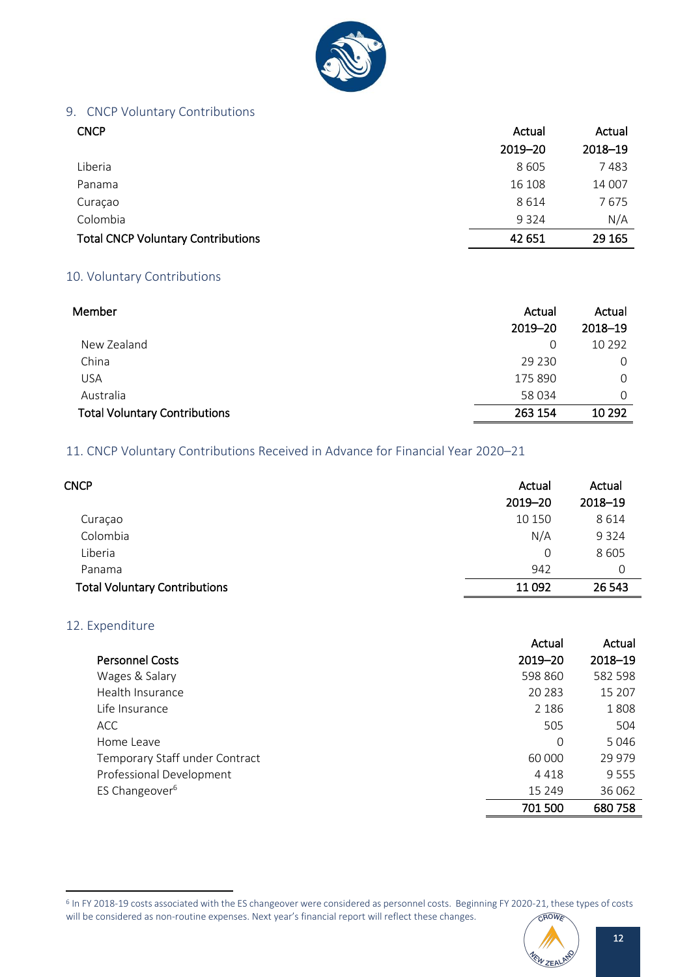

# <span id="page-13-0"></span>9. CNCP Voluntary Contributions

| <b>CNCP</b>                               | Actual  | Actual  |
|-------------------------------------------|---------|---------|
|                                           | 2019-20 | 2018-19 |
| Liberia                                   | 8 6 0 5 | 7483    |
| Panama                                    | 16 108  | 14 007  |
| Curaçao                                   | 8614    | 7675    |
| Colombia                                  | 9 3 2 4 | N/A     |
| <b>Total CNCP Voluntary Contributions</b> | 42 651  | 29 165  |

### <span id="page-13-1"></span>10. Voluntary Contributions

| Member                               | Actual  | Actual   |  |
|--------------------------------------|---------|----------|--|
|                                      | 2019-20 | 2018-19  |  |
| New Zealand                          | 0       | 10 2 9 2 |  |
| China                                | 29 2 30 | 0        |  |
| <b>USA</b>                           | 175 890 | $\Omega$ |  |
| Australia                            | 58 034  | 0        |  |
| <b>Total Voluntary Contributions</b> | 263 154 | 10 29 2  |  |

# <span id="page-13-2"></span>11. CNCP Voluntary Contributions Received in Advance for Financial Year 2020–21

| <b>CNCP</b>                          | Actual  | Actual  |
|--------------------------------------|---------|---------|
|                                      | 2019-20 | 2018-19 |
| Curaçao                              | 10 150  | 8614    |
| Colombia                             | N/A     | 9 3 2 4 |
| Liberia                              | 0       | 8605    |
| Panama                               | 942     | 0       |
| <b>Total Voluntary Contributions</b> | 11092   | 26 543  |

### <span id="page-13-3"></span>12. Expenditure

j

|                                | Actual   | Actual  |
|--------------------------------|----------|---------|
| <b>Personnel Costs</b>         | 2019-20  | 2018-19 |
| Wages & Salary                 | 598 860  | 582 598 |
| Health Insurance               | 20 283   | 15 207  |
| Life Insurance                 | 2 1 8 6  | 1808    |
| <b>ACC</b>                     | 505      | 504     |
| Home Leave                     | 0        | 5046    |
| Temporary Staff under Contract | 60 000   | 29 979  |
| Professional Development       | 4418     | 9555    |
| ES Changeover <sup>6</sup>     | 15 2 4 9 | 36 062  |
|                                | 701 500  | 680758  |
|                                |          |         |

<sup>&</sup>lt;sup>6</sup> In FY 2018-19 costs associated with the ES changeover were considered as personnel costs. Beginning FY 2020-21, these types of costs will be considered as non-routine expenses. Next year's financial report will reflect these changes. CROWE

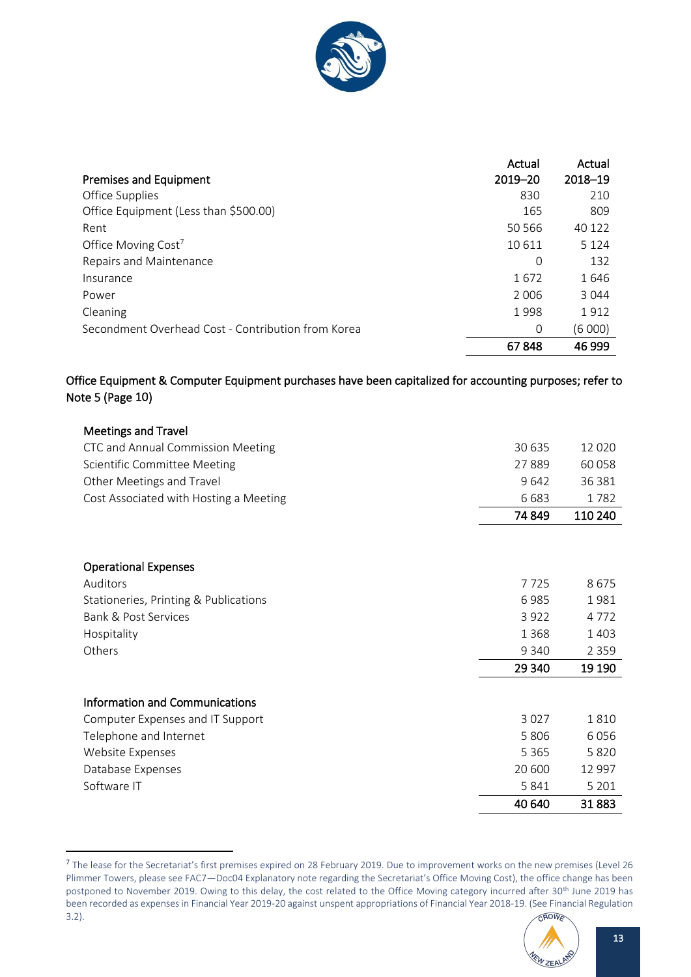

|                                                    | Actual      | Actual  |
|----------------------------------------------------|-------------|---------|
| Premises and Equipment                             | $2019 - 20$ | 2018-19 |
| Office Supplies                                    | 830         | 210     |
| Office Equipment (Less than \$500.00)              | 165         | 809     |
| Rent                                               | 50 566      | 40 122  |
| Office Moving Cost <sup>7</sup>                    | 10 611      | 5 1 2 4 |
| Repairs and Maintenance                            | 0           | 132     |
| Insurance                                          | 1672        | 1646    |
| Power                                              | 2006        | 3 0 4 4 |
| Cleaning                                           | 1998        | 1912    |
| Secondment Overhead Cost - Contribution from Korea | 0           | (6 000) |
|                                                    | 67848       | 46 999  |

# Office Equipment & Computer Equipment purchases have been capitalized for accounting purposes; refer to Note 5 (Page 10)

| <b>Meetings and Travel</b>             |         |         |
|----------------------------------------|---------|---------|
| CTC and Annual Commission Meeting      | 30 635  | 12 0 20 |
| Scientific Committee Meeting           | 27889   | 60058   |
| Other Meetings and Travel              | 9642    | 36 381  |
| Cost Associated with Hosting a Meeting | 6683    | 1782    |
|                                        | 74 849  | 110 240 |
|                                        |         |         |
| <b>Operational Expenses</b>            |         |         |
| Auditors                               | 7725    | 8675    |
| Stationeries, Printing & Publications  | 6985    | 1981    |
| <b>Bank &amp; Post Services</b>        | 3922    | 4772    |
| Hospitality                            | 1 3 6 8 | 1 4 0 3 |
| Others                                 | 9 3 4 0 | 2 3 5 9 |
|                                        | 29 340  | 19 19 0 |
| Information and Communications         |         |         |
| Computer Expenses and IT Support       | 3 0 2 7 | 1810    |
| Telephone and Internet                 | 5 8 0 6 | 6056    |
| Website Expenses                       | 5 3 6 5 | 5820    |
| Database Expenses                      | 20 600  | 12 997  |
| Software IT                            | 5 8 4 1 | 5 2 0 1 |
|                                        | 40 640  | 31883   |

<sup>&</sup>lt;sup>7</sup> The lease for the Secretariat's first premises expired on 28 February 2019. Due to improvement works on the new premises (Level 26 Plimmer Towers, please see FAC7—Doc04 Explanatory note regarding the Secretariat's Office Moving Cost), the office change has been postponed to November 2019. Owing to this delay, the cost related to the Office Moving category incurred after 30th June 2019 has been recorded as expenses in Financial Year 2019-20 against unspent appropriations of Financial Year 2018-19. (See Financial Regulation **FROWE** 3.2).

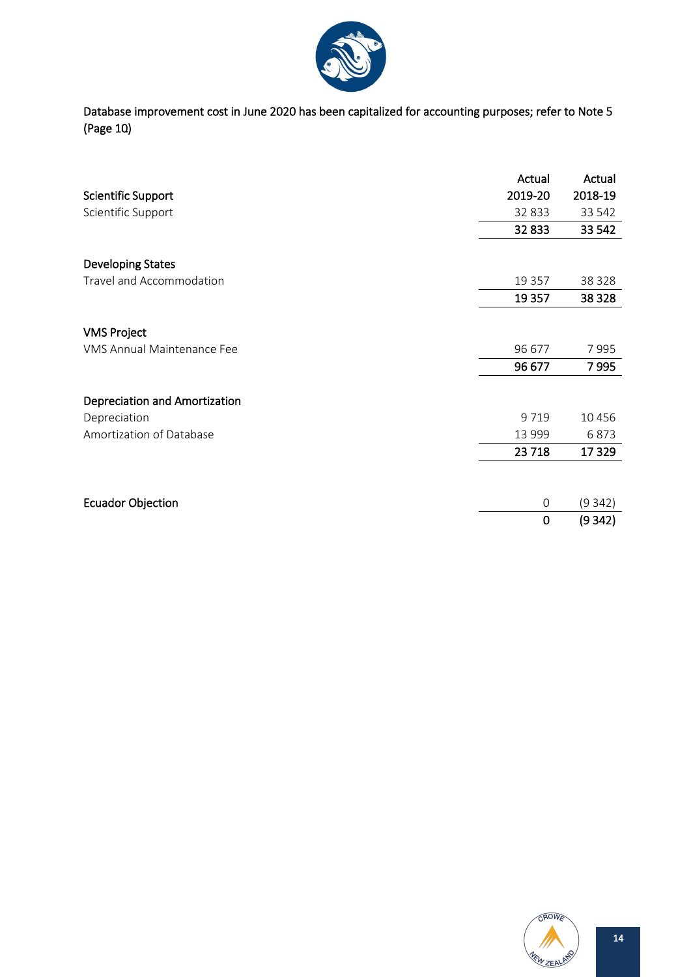

Database improvement cost in June 2020 has been capitalized for accounting purposes; refer to Note 5 (Page 10).

|                                      | Actual   | Actual   |
|--------------------------------------|----------|----------|
| Scientific Support                   | 2019-20  | 2018-19  |
| Scientific Support                   | 32 833   | 33 542   |
|                                      | 32833    | 33 542   |
| <b>Developing States</b>             |          |          |
| Travel and Accommodation             | 19 3 5 7 | 38 3 28  |
|                                      | 19 3 57  | 38 3 28  |
| <b>VMS Project</b>                   |          |          |
| VMS Annual Maintenance Fee           | 96 677   | 7995     |
|                                      | 96 677   | 7995     |
| <b>Depreciation and Amortization</b> |          |          |
| Depreciation                         | 9719     | 10 4 5 6 |
| Amortization of Database             | 13 999   | 6873     |
|                                      | 23718    | 17329    |
|                                      |          |          |
| <b>Ecuador Objection</b>             | 0        | (9342)   |
|                                      | 0        | (9342)   |

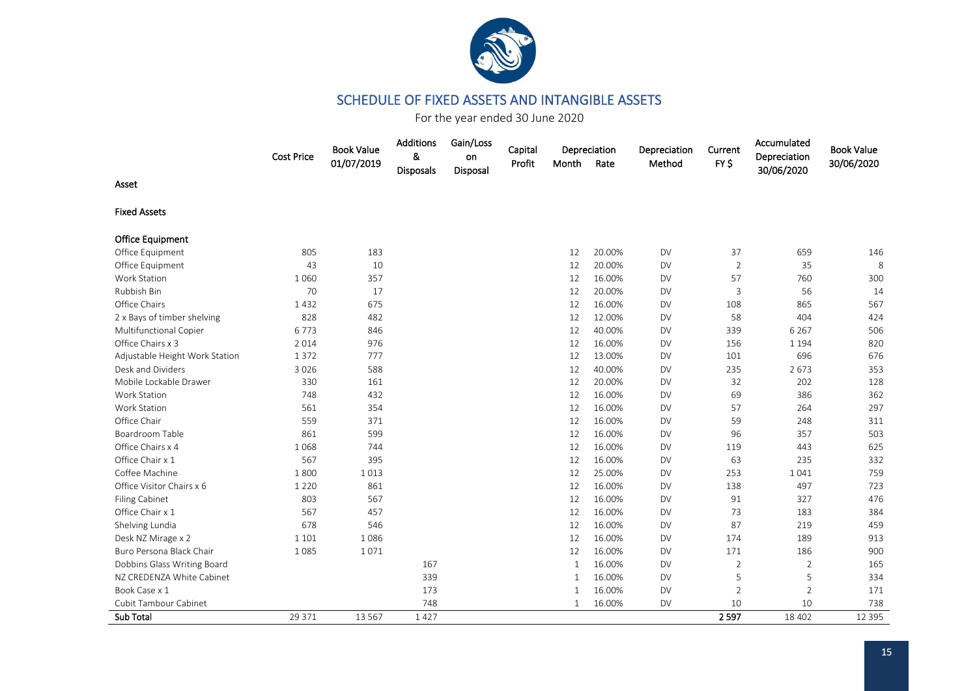

# SCHEDULE OF FIXED ASSETS AND INTANGIBLE ASSETS

For the year ended 30 June 2020

<span id="page-16-0"></span>

|                                | <b>Cost Price</b> | <b>Book Value</b><br>01/07/2019 | Additions<br>&<br>Disposals | Gain/Loss<br>on<br>Disposal | Capital<br>Profit | Month        | Depreciation<br>Rate | Depreciation<br>Method | Current<br>FY <sub>S</sub> | Accumulated<br>Depreciation<br>30/06/2020 | <b>Book Value</b><br>30/06/2020 |
|--------------------------------|-------------------|---------------------------------|-----------------------------|-----------------------------|-------------------|--------------|----------------------|------------------------|----------------------------|-------------------------------------------|---------------------------------|
| Asset                          |                   |                                 |                             |                             |                   |              |                      |                        |                            |                                           |                                 |
| <b>Fixed Assets</b>            |                   |                                 |                             |                             |                   |              |                      |                        |                            |                                           |                                 |
| <b>Office Equipment</b>        |                   |                                 |                             |                             |                   |              |                      |                        |                            |                                           |                                 |
| Office Equipment               | 805               | 183                             |                             |                             |                   | 12           | 20.00%               | <b>DV</b>              | 37                         | 659                                       | 146                             |
| Office Equipment               | 43                | 10                              |                             |                             |                   | 12           | 20.00%               | <b>DV</b>              | $\overline{2}$             | 35                                        | 8                               |
| <b>Work Station</b>            | 1 0 6 0           | 357                             |                             |                             |                   | 12           | 16.00%               | <b>DV</b>              | 57                         | 760                                       | 300                             |
| Rubbish Bin                    | 70                | 17                              |                             |                             |                   | 12           | 20.00%               | <b>DV</b>              | 3                          | 56                                        | 14                              |
| Office Chairs                  | 1432              | 675                             |                             |                             |                   | 12           | 16.00%               | <b>DV</b>              | 108                        | 865                                       | 567                             |
| 2 x Bays of timber shelving    | 828               | 482                             |                             |                             |                   | 12           | 12.00%               | <b>DV</b>              | 58                         | 404                                       | 424                             |
| Multifunctional Copier         | 6773              | 846                             |                             |                             |                   | 12           | 40.00%               | <b>DV</b>              | 339                        | 6 2 6 7                                   | 506                             |
| Office Chairs x 3              | 2014              | 976                             |                             |                             |                   | 12           | 16.00%               | <b>DV</b>              | 156                        | 1 1 9 4                                   | 820                             |
| Adjustable Height Work Station | 1 3 7 2           | 777                             |                             |                             |                   | 12           | 13.00%               | <b>DV</b>              | 101                        | 696                                       | 676                             |
| Desk and Dividers              | 3 0 2 6           | 588                             |                             |                             |                   | 12           | 40.00%               | <b>DV</b>              | 235                        | 2673                                      | 353                             |
| Mobile Lockable Drawer         | 330               | 161                             |                             |                             |                   | 12           | 20.00%               | <b>DV</b>              | 32                         | 202                                       | 128                             |
| Work Station                   | 748               | 432                             |                             |                             |                   | 12           | 16.00%               | <b>DV</b>              | 69                         | 386                                       | 362                             |
| <b>Work Station</b>            | 561               | 354                             |                             |                             |                   | 12           | 16.00%               | <b>DV</b>              | 57                         | 264                                       | 297                             |
| Office Chair                   | 559               | 371                             |                             |                             |                   | 12           | 16.00%               | <b>DV</b>              | 59                         | 248                                       | 311                             |
| Boardroom Table                | 861               | 599                             |                             |                             |                   | 12           | 16.00%               | <b>DV</b>              | 96                         | 357                                       | 503                             |
| Office Chairs x 4              | 1068              | 744                             |                             |                             |                   | 12           | 16.00%               | <b>DV</b>              | 119                        | 443                                       | 625                             |
| Office Chair x 1               | 567               | 395                             |                             |                             |                   | 12           | 16.00%               | <b>DV</b>              | 63                         | 235                                       | 332                             |
| Coffee Machine                 | 1800              | 1013                            |                             |                             |                   | 12           | 25.00%               | <b>DV</b>              | 253                        | 1041                                      | 759                             |
| Office Visitor Chairs x 6      | 1 2 2 0           | 861                             |                             |                             |                   | 12           | 16.00%               | <b>DV</b>              | 138                        | 497                                       | 723                             |
| <b>Filing Cabinet</b>          | 803               | 567                             |                             |                             |                   | 12           | 16.00%               | <b>DV</b>              | 91                         | 327                                       | 476                             |
| Office Chair x 1               | 567               | 457                             |                             |                             |                   | 12           | 16.00%               | <b>DV</b>              | 73                         | 183                                       | 384                             |
| Shelving Lundia                | 678               | 546                             |                             |                             |                   | 12           | 16.00%               | <b>DV</b>              | 87                         | 219                                       | 459                             |
| Desk NZ Mirage x 2             | 1 1 0 1           | 1086                            |                             |                             |                   | 12           | 16.00%               | <b>DV</b>              | 174                        | 189                                       | 913                             |
| Buro Persona Black Chair       | 1085              | 1071                            |                             |                             |                   | 12           | 16.00%               | <b>DV</b>              | 171                        | 186                                       | 900                             |
| Dobbins Glass Writing Board    |                   |                                 | 167                         |                             |                   | $\mathbf{1}$ | 16.00%               | <b>DV</b>              | $\overline{2}$             | 2                                         | 165                             |
| NZ CREDENZA White Cabinet      |                   |                                 | 339                         |                             |                   | $\mathbf{1}$ | 16.00%               | <b>DV</b>              | 5                          | 5                                         | 334                             |
| Book Case x 1                  |                   |                                 | 173                         |                             |                   | $\mathbf{1}$ | 16.00%               | <b>DV</b>              | $\overline{2}$             | $\overline{2}$                            | 171                             |
| Cubit Tambour Cabinet          |                   |                                 | 748                         |                             |                   | $\mathbf{1}$ | 16.00%               | DV                     | 10                         | 10                                        | 738                             |
| Sub Total                      | 29 371            | 13 5 67                         | 1427                        |                             |                   |              |                      |                        | 2597                       | 18 40 2                                   | 12 3 9 5                        |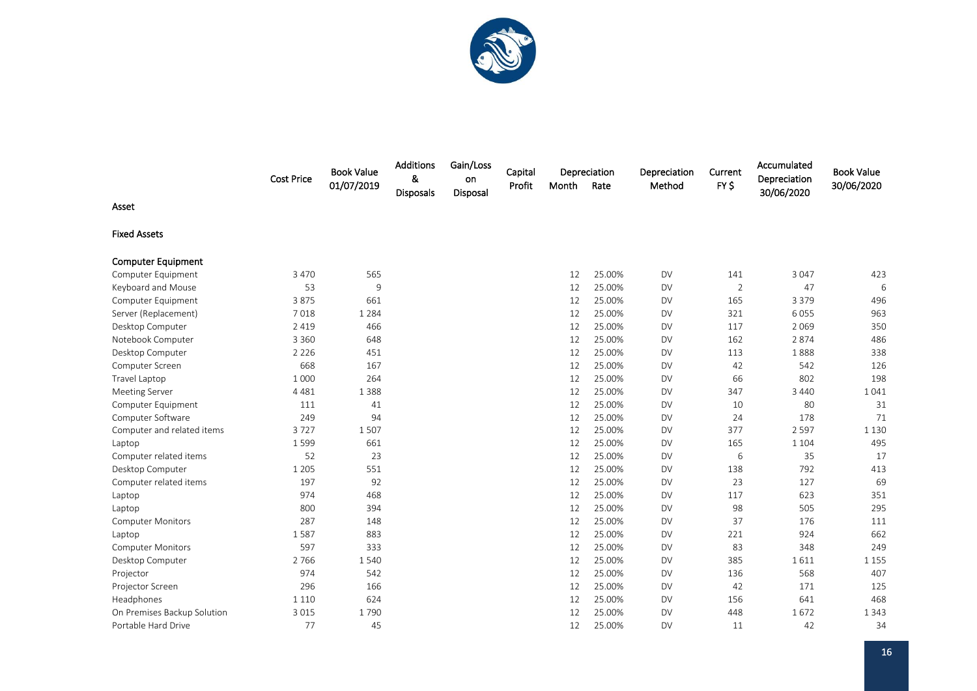

|                             | <b>Cost Price</b> | <b>Book Value</b><br>01/07/2019 | <b>Additions</b><br>&<br><b>Disposals</b> | Gain/Loss<br>on<br>Disposal | Capital<br>Profit | Month | Depreciation<br>Rate | Depreciation<br>Method | Current<br>FY\$ | Accumulated<br>Depreciation<br>30/06/2020 | <b>Book Value</b><br>30/06/2020 |
|-----------------------------|-------------------|---------------------------------|-------------------------------------------|-----------------------------|-------------------|-------|----------------------|------------------------|-----------------|-------------------------------------------|---------------------------------|
| Asset                       |                   |                                 |                                           |                             |                   |       |                      |                        |                 |                                           |                                 |
| <b>Fixed Assets</b>         |                   |                                 |                                           |                             |                   |       |                      |                        |                 |                                           |                                 |
| <b>Computer Equipment</b>   |                   |                                 |                                           |                             |                   |       |                      |                        |                 |                                           |                                 |
| Computer Equipment          | 3 4 7 0           | 565                             |                                           |                             |                   | 12    | 25.00%               | <b>DV</b>              | 141             | 3 0 4 7                                   | 423                             |
| Keyboard and Mouse          | 53                | 9                               |                                           |                             |                   | 12    | 25.00%               | <b>DV</b>              | $\overline{2}$  | 47                                        | 6                               |
| Computer Equipment          | 3875              | 661                             |                                           |                             |                   | 12    | 25.00%               | <b>DV</b>              | 165             | 3 3 7 9                                   | 496                             |
| Server (Replacement)        | 7018              | 1 2 8 4                         |                                           |                             |                   | 12    | 25.00%               | <b>DV</b>              | 321             | 6055                                      | 963                             |
| Desktop Computer            | 2 4 1 9           | 466                             |                                           |                             |                   | 12    | 25.00%               | <b>DV</b>              | 117             | 2069                                      | 350                             |
| Notebook Computer           | 3 3 6 0           | 648                             |                                           |                             |                   | 12    | 25.00%               | <b>DV</b>              | 162             | 2874                                      | 486                             |
| Desktop Computer            | 2 2 2 6           | 451                             |                                           |                             |                   | 12    | 25.00%               | <b>DV</b>              | 113             | 1888                                      | 338                             |
| Computer Screen             | 668               | 167                             |                                           |                             |                   | 12    | 25.00%               | <b>DV</b>              | 42              | 542                                       | 126                             |
| Travel Laptop               | 1 0 0 0           | 264                             |                                           |                             |                   | 12    | 25.00%               | <b>DV</b>              | 66              | 802                                       | 198                             |
| <b>Meeting Server</b>       | 4 4 8 1           | 1 3 8 8                         |                                           |                             |                   | 12    | 25.00%               | <b>DV</b>              | 347             | 3 4 4 0                                   | 1041                            |
| Computer Equipment          | 111               | 41                              |                                           |                             |                   | 12    | 25.00%               | <b>DV</b>              | 10              | 80                                        | 31                              |
| Computer Software           | 249               | 94                              |                                           |                             |                   | 12    | 25.00%               | <b>DV</b>              | 24              | 178                                       | 71                              |
| Computer and related items  | 3727              | 1507                            |                                           |                             |                   | 12    | 25.00%               | <b>DV</b>              | 377             | 2 5 9 7                                   | 1 1 3 0                         |
| Laptop                      | 1599              | 661                             |                                           |                             |                   | 12    | 25.00%               | <b>DV</b>              | 165             | 1 1 0 4                                   | 495                             |
| Computer related items      | 52                | 23                              |                                           |                             |                   | 12    | 25.00%               | <b>DV</b>              | 6               | 35                                        | 17                              |
| Desktop Computer            | 1 2 0 5           | 551                             |                                           |                             |                   | 12    | 25.00%               | <b>DV</b>              | 138             | 792                                       | 413                             |
| Computer related items      | 197               | 92                              |                                           |                             |                   | 12    | 25.00%               | DV                     | 23              | 127                                       | 69                              |
| Laptop                      | 974               | 468                             |                                           |                             |                   | 12    | 25.00%               | <b>DV</b>              | 117             | 623                                       | 351                             |
| Laptop                      | 800               | 394                             |                                           |                             |                   | 12    | 25.00%               | <b>DV</b>              | 98              | 505                                       | 295                             |
| <b>Computer Monitors</b>    | 287               | 148                             |                                           |                             |                   | 12    | 25.00%               | <b>DV</b>              | 37              | 176                                       | 111                             |
| Laptop                      | 1587              | 883                             |                                           |                             |                   | 12    | 25.00%               | <b>DV</b>              | 221             | 924                                       | 662                             |
| <b>Computer Monitors</b>    | 597               | 333                             |                                           |                             |                   | 12    | 25.00%               | <b>DV</b>              | 83              | 348                                       | 249                             |
| Desktop Computer            | 2766              | 1540                            |                                           |                             |                   | 12    | 25.00%               | <b>DV</b>              | 385             | 1611                                      | 1 1 5 5                         |
| Projector                   | 974               | 542                             |                                           |                             |                   | 12    | 25.00%               | <b>DV</b>              | 136             | 568                                       | 407                             |
| Projector Screen            | 296               | 166                             |                                           |                             |                   | 12    | 25.00%               | <b>DV</b>              | 42              | 171                                       | 125                             |
| Headphones                  | 1 1 1 0           | 624                             |                                           |                             |                   | 12    | 25.00%               | <b>DV</b>              | 156             | 641                                       | 468                             |
| On Premises Backup Solution | 3 0 1 5           | 1790                            |                                           |                             |                   | 12    | 25.00%               | <b>DV</b>              | 448             | 1672                                      | 1 3 4 3                         |
| Portable Hard Drive         | 77                | 45                              |                                           |                             |                   | 12    | 25.00%               | <b>DV</b>              | 11              | 42                                        | 34                              |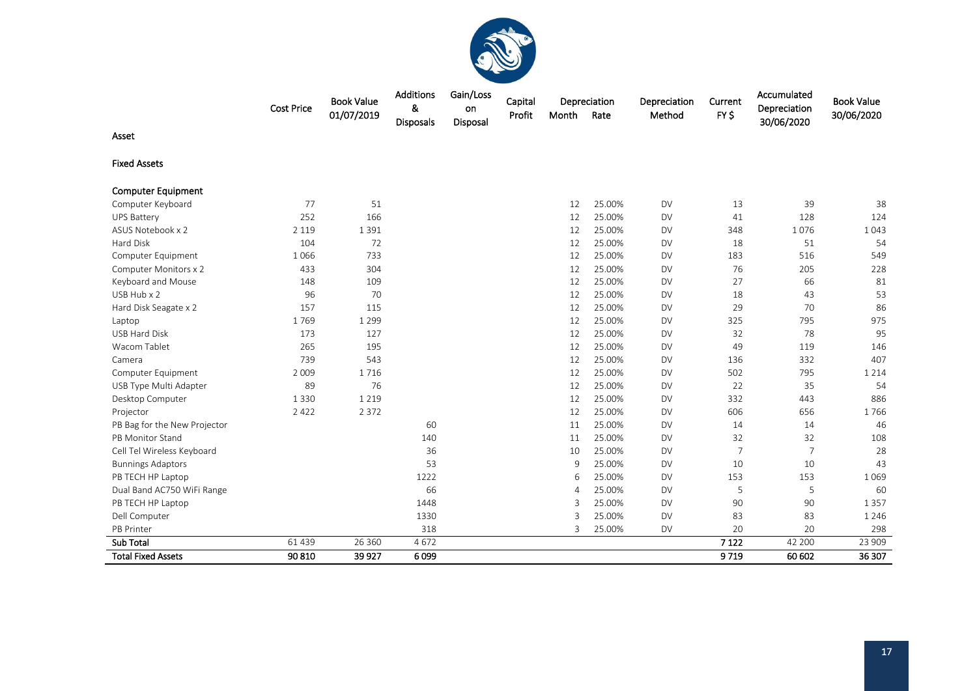

|                              | <b>Cost Price</b> | <b>Book Value</b><br>01/07/2019 | Additions<br>&<br>Disposals | Gain/Loss<br>on<br>Disposal | Capital<br>Profit | Month         | Depreciation<br>Rate | Depreciation<br>Method | Current<br>FY\$ | Accumulated<br>Depreciation<br>30/06/2020 | <b>Book Value</b><br>30/06/2020 |
|------------------------------|-------------------|---------------------------------|-----------------------------|-----------------------------|-------------------|---------------|----------------------|------------------------|-----------------|-------------------------------------------|---------------------------------|
| Asset                        |                   |                                 |                             |                             |                   |               |                      |                        |                 |                                           |                                 |
| <b>Fixed Assets</b>          |                   |                                 |                             |                             |                   |               |                      |                        |                 |                                           |                                 |
| <b>Computer Equipment</b>    |                   |                                 |                             |                             |                   |               |                      |                        |                 |                                           |                                 |
| Computer Keyboard            | 77                | 51                              |                             |                             |                   | 12            | 25.00%               | <b>DV</b>              | 13              | 39                                        | 38                              |
| <b>UPS Battery</b>           | 252               | 166                             |                             |                             |                   | 12            | 25.00%               | <b>DV</b>              | 41              | 128                                       | 124                             |
| ASUS Notebook x 2            | 2 1 1 9           | 1391                            |                             |                             |                   | 12            | 25.00%               | <b>DV</b>              | 348             | 1076                                      | 1043                            |
| Hard Disk                    | 104               | 72                              |                             |                             |                   | 12            | 25.00%               | <b>DV</b>              | 18              | 51                                        | 54                              |
| Computer Equipment           | 1066              | 733                             |                             |                             |                   | 12            | 25.00%               | <b>DV</b>              | 183             | 516                                       | 549                             |
| Computer Monitors x 2        | 433               | 304                             |                             |                             |                   | 12            | 25.00%               | <b>DV</b>              | 76              | 205                                       | 228                             |
| Keyboard and Mouse           | 148               | 109                             |                             |                             |                   | 12            | 25.00%               | <b>DV</b>              | 27              | 66                                        | 81                              |
| USB Hub x 2                  | 96                | 70                              |                             |                             |                   | 12            | 25.00%               | <b>DV</b>              | 18              | 43                                        | 53                              |
| Hard Disk Seagate x 2        | 157               | 115                             |                             |                             |                   | 12            | 25.00%               | <b>DV</b>              | 29              | 70                                        | 86                              |
| Laptop                       | 1769              | 1 2 9 9                         |                             |                             |                   | 12            | 25.00%               | <b>DV</b>              | 325             | 795                                       | 975                             |
| <b>USB Hard Disk</b>         | 173               | 127                             |                             |                             |                   | 12            | 25.00%               | <b>DV</b>              | 32              | 78                                        | 95                              |
| Wacom Tablet                 | 265               | 195                             |                             |                             |                   | 12            | 25.00%               | <b>DV</b>              | 49              | 119                                       | 146                             |
| Camera                       | 739               | 543                             |                             |                             |                   | 12            | 25.00%               | <b>DV</b>              | 136             | 332                                       | 407                             |
| Computer Equipment           | 2 0 0 9           | 1716                            |                             |                             |                   | 12            | 25.00%               | <b>DV</b>              | 502             | 795                                       | 1 2 1 4                         |
| USB Type Multi Adapter       | 89                | 76                              |                             |                             |                   | 12            | 25.00%               | <b>DV</b>              | 22              | 35                                        | 54                              |
| Desktop Computer             | 1 3 3 0           | 1 2 1 9                         |                             |                             |                   | 12            | 25.00%               | <b>DV</b>              | 332             | 443                                       | 886                             |
| Projector                    | 2 4 2 2           | 2 3 7 2                         |                             |                             |                   | 12            | 25.00%               | <b>DV</b>              | 606             | 656                                       | 1766                            |
| PB Bag for the New Projector |                   |                                 | 60                          |                             |                   | 11            | 25.00%               | <b>DV</b>              | 14              | 14                                        | 46                              |
| PB Monitor Stand             |                   |                                 | 140                         |                             |                   | 11            | 25.00%               | <b>DV</b>              | 32              | 32                                        | 108                             |
| Cell Tel Wireless Keyboard   |                   |                                 | 36                          |                             |                   | 10            | 25.00%               | <b>DV</b>              | $\overline{7}$  | $\overline{7}$                            | 28                              |
| <b>Bunnings Adaptors</b>     |                   |                                 | 53                          |                             |                   | 9             | 25.00%               | <b>DV</b>              | 10              | 10                                        | 43                              |
| PB TECH HP Laptop            |                   |                                 | 1222                        |                             |                   | 6             | 25.00%               | <b>DV</b>              | 153             | 153                                       | 1069                            |
| Dual Band AC750 WiFi Range   |                   |                                 | 66                          |                             |                   | 4             | 25.00%               | <b>DV</b>              | 5               | 5                                         | 60                              |
| PB TECH HP Laptop            |                   |                                 | 1448                        |                             |                   | $\mathcal{R}$ | 25.00%               | <b>DV</b>              | 90              | 90                                        | 1 3 5 7                         |
| Dell Computer                |                   |                                 | 1330                        |                             |                   | 3             | 25.00%               | <b>DV</b>              | 83              | 83                                        | 1 2 4 6                         |
| PB Printer                   |                   |                                 | 318                         |                             |                   | 3             | 25.00%               | <b>DV</b>              | 20              | 20                                        | 298                             |
| <b>Sub Total</b>             | 61 439            | 26 360                          | 4672                        |                             |                   |               |                      |                        | 7 1 2 2         | 42 200                                    | 23 909                          |
| <b>Total Fixed Assets</b>    | 90 810            | 39 9 27                         | 6099                        |                             |                   |               |                      |                        | 9719            | 60 602                                    | 36 307                          |